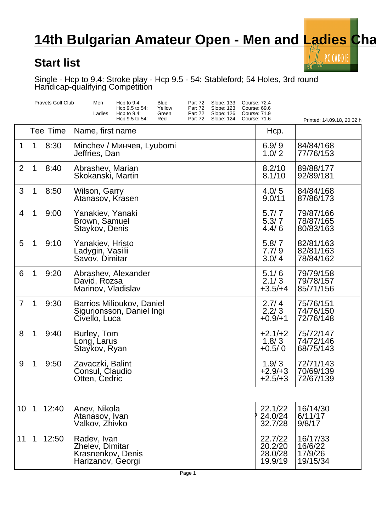## **14th Bulgarian Amateur Open - Men and Ladies Champy**

PC CADDIE

V)

## **Start list**

Single - Hcp to 9.4: Stroke play - Hcp 9.5 - 54: Stableford; 54 Holes, 3rd round Handicap-qualifying Competition

|                |                | <b>Pravets Golf Club</b> | Men<br>Hcp to $9.4$ :<br>Blue<br>Par: 72<br>Slope: 133<br>Yellow<br>Hcp 9.5 to 54:<br>Par: 72<br>Slope: 123<br>Ladies<br>Par: 72<br>Slope: 126<br>Hcp to $9.4$ :<br>Green<br>Par: 72<br><b>Slope: 124</b><br>Hcp 9.5 to 54:<br>Red | <b>Course: 72.4</b><br>Course: 69.6<br><b>Course: 71.9</b><br>Course: 71.6 | Printed: 14.09.18, 20:32 h                 |
|----------------|----------------|--------------------------|------------------------------------------------------------------------------------------------------------------------------------------------------------------------------------------------------------------------------------|----------------------------------------------------------------------------|--------------------------------------------|
|                |                | Tee Time                 | Name, first name                                                                                                                                                                                                                   | Hcp.                                                                       |                                            |
| 1              | 1              | 8:30                     | Minchev /<br>, Lyubomi<br>Jeffries, Dan                                                                                                                                                                                            | 6.9/9<br>1.0/2                                                             | 84/84/168<br>77/76/153                     |
| 2              | 1              | 8:40                     | Abrashev, Marian<br>Skokanski, Martin                                                                                                                                                                                              | 8.2/10<br>8.1/10                                                           | 89/88/177<br>92/89/181                     |
| 3              | 1              | 8:50                     | Wilson, Garry<br>Atanasov, Krasen                                                                                                                                                                                                  | 4.0/5<br>9.0/11                                                            | 84/84/168<br>87/86/173                     |
| $\overline{4}$ | 1              | 9:00                     | Yanakiev, Yanaki<br>Brown, Samuel<br>Staykov, Denis                                                                                                                                                                                | 5.7/7<br>5.3/7<br>4.4/6                                                    | 79/87/166<br>78/87/165<br>80/83/163        |
| 5              | 1              | 9:10                     | Yanakiev, Hristo<br>Ladygin, Vasilii<br>Savov, Dimitar                                                                                                                                                                             | 5.8/7<br>7.7/9<br>3.0/4                                                    | 82/81/163<br>82/81/163<br>78/84/162        |
| 6              | 1              | 9:20                     | Abrashev, Alexander<br>David, Rozsa<br>Marinov, Vladislav                                                                                                                                                                          | 5.1/6<br>2.1/3<br>$+3.5/+4$                                                | 79/79/158<br>79/78/157<br>85/71/156        |
| $\overline{7}$ | 1              | 9:30                     | Barrios Milioukov, Daniel<br>Sigurjonsson, Daniel Ingi<br>Civello, Luca                                                                                                                                                            | 2.7/4<br>2.2/3<br>$+0.9/+1$                                                | 75/76/151<br>74/76/150<br>72/76/148        |
| 8              | 1              | 9:40                     | Burley, Tom<br>Long, Larus<br>Staykov, Ryan                                                                                                                                                                                        | $+2.1/+2$<br>1.8/3<br>$+0.5/0$                                             | 75/72/147<br>74/72/146<br>68/75/143        |
| 9              | 1              | 9:50                     | Zavaczki, Balint<br>Consul, Claudio<br>Otten, Cedric                                                                                                                                                                               | 1.9/3<br>$+2.9/+3$<br>$+2.5/+3$                                            | 72/71/143<br>70/69/139<br>72/67/139        |
|                |                |                          |                                                                                                                                                                                                                                    |                                                                            |                                            |
| 10             | $\overline{1}$ | 12:40                    | Anev, Nikola<br>Atanasov, Ivan<br>Valkov, Zhivko                                                                                                                                                                                   | 22.1/22<br>24.0/24<br>32.7/28                                              | 16/14/30<br>6/11/17<br>9/8/17              |
| 11             | 1              | 12:50                    | Radev, Ivan<br>Zhelev, Dimitar<br>Krasnenkov, Denis<br>Harizanov, Georgi                                                                                                                                                           | 22.7/22<br>20.2/20<br>28.0/28<br>19.9/19                                   | 16/17/33<br>16/6/22<br>17/9/26<br>19/15/34 |